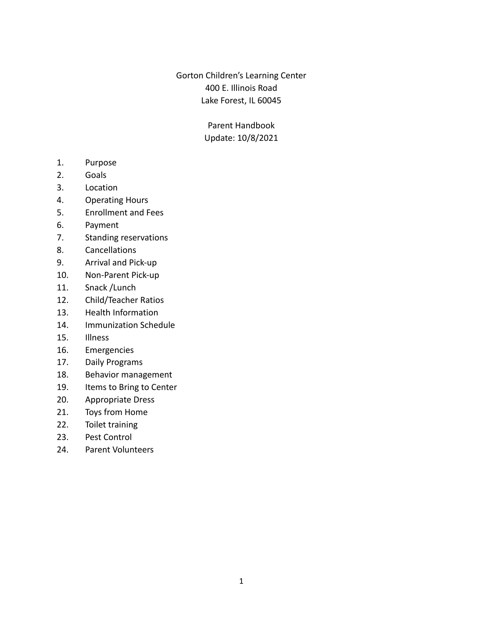Gorton Children's Learning Center 400 E. Illinois Road Lake Forest, IL 60045

> Parent Handbook Update: 10/8/2021

- 1. Purpose
- 2. Goals
- 3. Location
- 4. Operating Hours
- 5. Enrollment and Fees
- 6. Payment
- 7. Standing reservations
- 8. Cancellations
- 9. Arrival and Pick-up
- 10. Non-Parent Pick-up
- 11. Snack /Lunch
- 12. Child/Teacher Ratios
- 13. Health Information
- 14. Immunization Schedule
- 15. Illness
- 16. Emergencies
- 17. Daily Programs
- 18. Behavior management
- 19. Items to Bring to Center
- 20. Appropriate Dress
- 21. Toys from Home
- 22. Toilet training
- 23. Pest Control
- 24. Parent Volunteers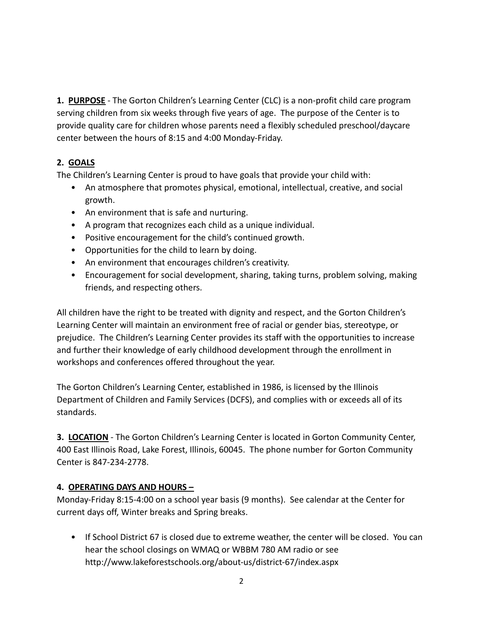**1. PURPOSE** - The Gorton Children's Learning Center (CLC) is a non-profit child care program serving children from six weeks through five years of age. The purpose of the Center is to provide quality care for children whose parents need a flexibly scheduled preschool/daycare center between the hours of 8:15 and 4:00 Monday-Friday.

# **2. GOALS**

The Children's Learning Center is proud to have goals that provide your child with:

- An atmosphere that promotes physical, emotional, intellectual, creative, and social growth.
- An environment that is safe and nurturing.
- A program that recognizes each child as a unique individual.
- Positive encouragement for the child's continued growth.
- Opportunities for the child to learn by doing.
- An environment that encourages children's creativity.
- Encouragement for social development, sharing, taking turns, problem solving, making friends, and respecting others.

All children have the right to be treated with dignity and respect, and the Gorton Children's Learning Center will maintain an environment free of racial or gender bias, stereotype, or prejudice. The Children's Learning Center provides its staff with the opportunities to increase and further their knowledge of early childhood development through the enrollment in workshops and conferences offered throughout the year.

The Gorton Children's Learning Center, established in 1986, is licensed by the Illinois Department of Children and Family Services (DCFS), and complies with or exceeds all of its standards.

**3. LOCATION** - The Gorton Children's Learning Center is located in Gorton Community Center, 400 East Illinois Road, Lake Forest, Illinois, 60045. The phone number for Gorton Community Center is 847-234-2778.

## **4. OPERATING DAYS AND HOURS –**

Monday-Friday 8:15-4:00 on a school year basis (9 months). See calendar at the Center for current days off, Winter breaks and Spring breaks.

• If School District 67 is closed due to extreme weather, the center will be closed. You can hear the school closings on WMAQ or WBBM 780 AM radio or see http://www.lakeforestschools.org/about-us/district-67/index.aspx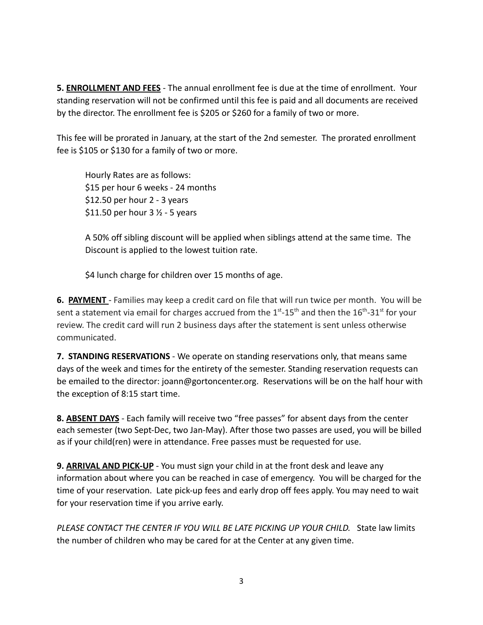**5. ENROLLMENT AND FEES** - The annual enrollment fee is due at the time of enrollment. Your standing reservation will not be confirmed until this fee is paid and all documents are received by the director. The enrollment fee is \$205 or \$260 for a family of two or more.

This fee will be prorated in January, at the start of the 2nd semester. The prorated enrollment fee is \$105 or \$130 for a family of two or more.

Hourly Rates are as follows: \$15 per hour 6 weeks - 24 months \$12.50 per hour 2 - 3 years \$11.50 per hour  $3\frac{1}{2}$  - 5 years

A 50% off sibling discount will be applied when siblings attend at the same time. The Discount is applied to the lowest tuition rate.

\$4 lunch charge for children over 15 months of age.

**6. PAYMENT** - Families may keep a credit card on file that will run twice per month. You will be sent a statement via email for charges accrued from the  $1<sup>st</sup>$ -15<sup>th</sup> and then the  $16<sup>th</sup>$ -31<sup>st</sup> for your review. The credit card will run 2 business days after the statement is sent unless otherwise communicated.

**7. STANDING RESERVATIONS** - We operate on standing reservations only, that means same days of the week and times for the entirety of the semester. Standing reservation requests can be emailed to the director: joann@gortoncenter.org. Reservations will be on the half hour with the exception of 8:15 start time.

**8. ABSENT DAYS** - Each family will receive two "free passes" for absent days from the center each semester (two Sept-Dec, two Jan-May). After those two passes are used, you will be billed as if your child(ren) were in attendance. Free passes must be requested for use.

**9. ARRIVAL AND PICK-UP** - You must sign your child in at the front desk and leave any information about where you can be reached in case of emergency. You will be charged for the time of your reservation. Late pick-up fees and early drop off fees apply. You may need to wait for your reservation time if you arrive early.

*PLEASE CONTACT THE CENTER IF YOU WILL BE LATE PICKING UP YOUR CHILD.* State law limits the number of children who may be cared for at the Center at any given time.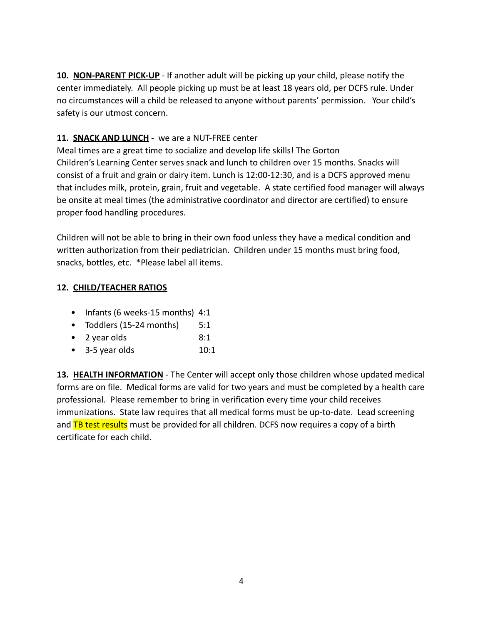**10. NON-PARENT PICK-UP** - If another adult will be picking up your child, please notify the center immediately. All people picking up must be at least 18 years old, per DCFS rule. Under no circumstances will a child be released to anyone without parents' permission. Your child's safety is our utmost concern.

# **11. SNACK AND LUNCH** - we are a NUT-FREE center

Meal times are a great time to socialize and develop life skills! The Gorton Children's Learning Center serves snack and lunch to children over 15 months. Snacks will consist of a fruit and grain or dairy item. Lunch is 12:00-12:30, and is a DCFS approved menu that includes milk, protein, grain, fruit and vegetable. A state certified food manager will always be onsite at meal times (the administrative coordinator and director are certified) to ensure proper food handling procedures.

Children will not be able to bring in their own food unless they have a medical condition and written authorization from their pediatrician. Children under 15 months must bring food, snacks, bottles, etc. \*Please label all items.

# **12. CHILD/TEACHER RATIOS**

- Infants (6 weeks-15 months) 4:1
- Toddlers (15-24 months) 5:1
- 2 year olds 8:1
- 3-5 year olds 10:1

**13. HEALTH INFORMATION** - The Center will accept only those children whose updated medical forms are on file. Medical forms are valid for two years and must be completed by a health care professional. Please remember to bring in verification every time your child receives immunizations. State law requires that all medical forms must be up-to-date. Lead screening and TB test results must be provided for all children. DCFS now requires a copy of a birth certificate for each child.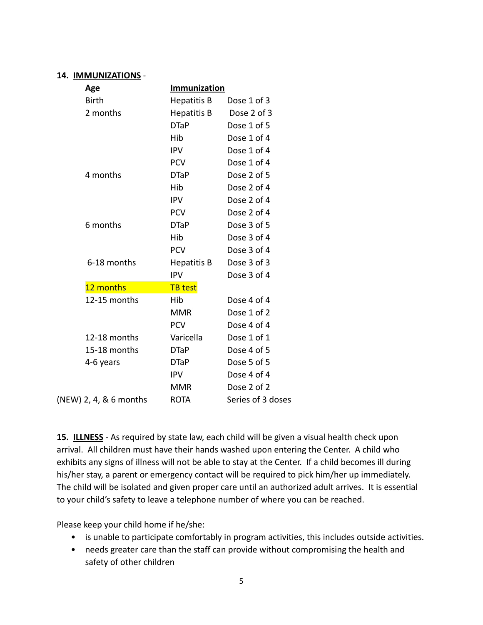#### **14. IMMUNIZATIONS** -

| Age                    | Immunization       |                   |
|------------------------|--------------------|-------------------|
| <b>Birth</b>           | <b>Hepatitis B</b> | Dose 1 of 3       |
| 2 months               | Hepatitis B        | Dose 2 of 3       |
|                        | <b>DTaP</b>        | Dose 1 of 5       |
|                        | Hib                | Dose 1 of 4       |
|                        | <b>IPV</b>         | Dose 1 of 4       |
|                        | <b>PCV</b>         | Dose 1 of 4       |
| 4 months               | <b>DTaP</b>        | Dose 2 of 5       |
|                        | Hib                | Dose 2 of 4       |
|                        | <b>IPV</b>         | Dose 2 of 4       |
|                        | <b>PCV</b>         | Dose 2 of 4       |
| 6 months               | <b>DTaP</b>        | Dose 3 of 5       |
|                        | Hib                | Dose 3 of 4       |
|                        | <b>PCV</b>         | Dose 3 of 4       |
| 6-18 months            | Hepatitis B        | Dose 3 of 3       |
|                        | <b>IPV</b>         | Dose 3 of 4       |
| 12 months              | <b>TB</b> test     |                   |
| 12-15 months           | Hib                | Dose 4 of 4       |
|                        | <b>MMR</b>         | Dose 1 of 2       |
|                        | <b>PCV</b>         | Dose 4 of 4       |
| 12-18 months           | Varicella          | Dose 1 of 1       |
| 15-18 months           | <b>DTaP</b>        | Dose 4 of 5       |
| 4-6 years              | <b>DTaP</b>        | Dose 5 of 5       |
|                        | <b>IPV</b>         | Dose 4 of 4       |
|                        | <b>MMR</b>         | Dose 2 of 2       |
| (NEW) 2, 4, & 6 months | <b>ROTA</b>        | Series of 3 doses |

**15. ILLNESS** - As required by state law, each child will be given a visual health check upon arrival. All children must have their hands washed upon entering the Center. A child who exhibits any signs of illness will not be able to stay at the Center. If a child becomes ill during his/her stay, a parent or emergency contact will be required to pick him/her up immediately. The child will be isolated and given proper care until an authorized adult arrives. It is essential to your child's safety to leave a telephone number of where you can be reached.

Please keep your child home if he/she:

- is unable to participate comfortably in program activities, this includes outside activities.
- needs greater care than the staff can provide without compromising the health and safety of other children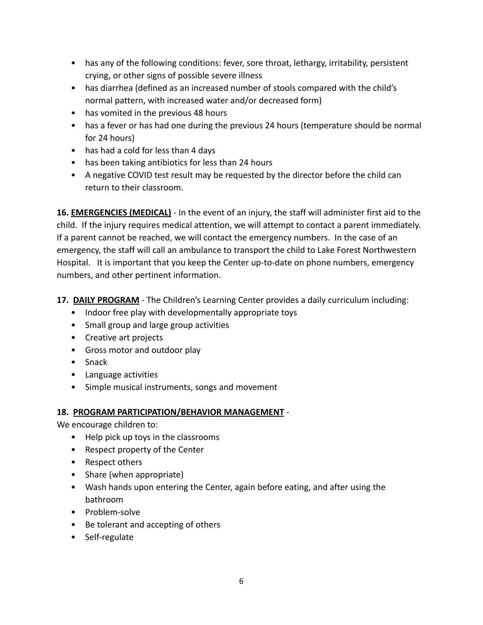- has any of the following conditions: fever, sore throat, lethargy, irritability, persistent crying, or other signs of possible severe illness
- has diarrhea (defined as an increased number of stools compared with the child's normal pattern, with increased water and/or decreased form)
- has vomited in the previous 48 hours
- has a fever or has had one during the previous 24 hours (temperature should be normal for 24 hours)
- has had a cold for less than 4 days
- has been taking antibiotics for less than 24 hours
- A negative COVID test result may be requested by the director before the child can return to their classroom.

**16. EMERGENCIES (MEDICAL)** - In the event of an injury, the staff will administer first aid to the child. If the injury requires medical attention, we will attempt to contact a parent immediately. If a parent cannot be reached, we will contact the emergency numbers. In the case of an emergency, the staff will call an ambulance to transport the child to Lake Forest Northwestern Hospital. It is important that you keep the Center up-to-date on phone numbers, emergency numbers, and other pertinent information.

**17. DAILY PROGRAM** - The Children's Learning Center provides a daily curriculum including:

- Indoor free play with developmentally appropriate toys
- Small group and large group activities
- Creative art projects
- Gross motor and outdoor play
- Snack
- Language activities
- Simple musical instruments, songs and movement

## **18. PROGRAM PARTICIPATION/BEHAVIOR MANAGEMENT** -

We encourage children to:

- Help pick up toys in the classrooms
- Respect property of the Center
- Respect others
- Share (when appropriate)
- Wash hands upon entering the Center, again before eating, and after using the bathroom
- Problem-solve
- Be tolerant and accepting of others
- Self-regulate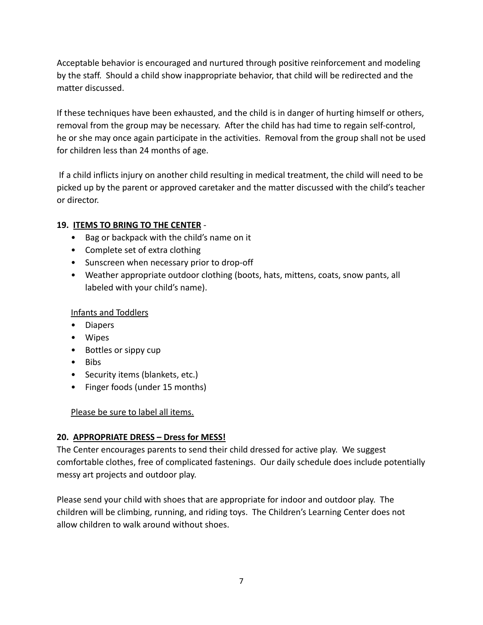Acceptable behavior is encouraged and nurtured through positive reinforcement and modeling by the staff. Should a child show inappropriate behavior, that child will be redirected and the matter discussed.

If these techniques have been exhausted, and the child is in danger of hurting himself or others, removal from the group may be necessary. After the child has had time to regain self-control, he or she may once again participate in the activities. Removal from the group shall not be used for children less than 24 months of age.

If a child inflicts injury on another child resulting in medical treatment, the child will need to be picked up by the parent or approved caretaker and the matter discussed with the child's teacher or director.

# **19. ITEMS TO BRING TO THE CENTER** -

- Bag or backpack with the child's name on it
- Complete set of extra clothing
- Sunscreen when necessary prior to drop-off
- Weather appropriate outdoor clothing (boots, hats, mittens, coats, snow pants, all labeled with your child's name).

## Infants and Toddlers

- Diapers
- Wipes
- Bottles or sippy cup
- Bibs
- Security items (blankets, etc.)
- Finger foods (under 15 months)

Please be sure to label all items.

## **20. APPROPRIATE DRESS – Dress for MESS!**

The Center encourages parents to send their child dressed for active play. We suggest comfortable clothes, free of complicated fastenings. Our daily schedule does include potentially messy art projects and outdoor play.

Please send your child with shoes that are appropriate for indoor and outdoor play. The children will be climbing, running, and riding toys. The Children's Learning Center does not allow children to walk around without shoes.